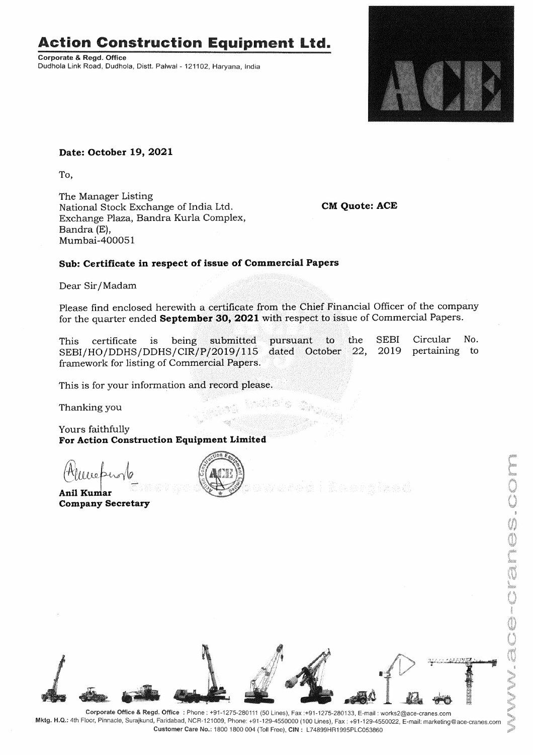## **Action Construction Equipment Ltd.**

**Corporate** & **Regd. Office**  Dudhola Link Road, Dudhola, Distt. Palwal - 121102, Haryana, India



## **Date: October 19, 2021**

To,

The Manager Listing National Stock Exchange of India Ltd. Exchange Plaza, Bandra Kurla Complex, Bandra (E), Mumbai-400051

**CM Quote: ACE** 

## **Sub: Certificate in respect of issue of Commercial Papers**

Dear Sir/ Madam

Please find enclosed herewith a certificate from the Chief Financial Officer of the company for the quarter ended **September 30, 2021** with respect to issue of Commercial Papers.

pursuant to the dated October 22, This certificate is being submitted SEBI/HO/DDHS/DDHS/CIR/P/2019/115 framework for listing of Commercial Papers. SEBI 2019 Circular No. pertaining to

This is for your information and record please.

Thanking you

Yours faithfully **For Action Construction Equipment Limited** 

ours faithfully<br>or **Action Constri<br>(Allelee ferovelorial)**<br>inil Kumar

Anil Kumar **Company Secretary** 





**Mktg. H.Q.:** 4th Floor, Pinnacle, Surajkund, Faridabad, NCR-121009, Phone: +91-129-4550000 (100 Lines), Fax: +91-129-4550022, E-mail: marketing@ace-cranes.com **Customer Care No.:** 1800 1800 004 (Toll Free), **CIN:** L74899HR1995PLC053860